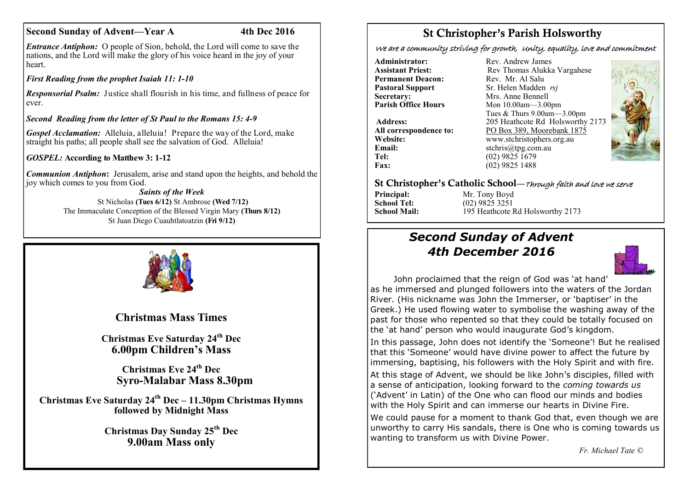## **Second Sunday of Advent—Year A** 4th Dec 2016

*Entrance Antiphon:* O people of Sion, behold, the Lord will come to save the nations, and the Lord will make the glory of his voice heard in the joy of your heart.

*First Reading from the prophet Isaiah 11: 1-10*

*Responsorial Psalm:* Justice shall flourish in his time, and fullness of peace for ever.

*Second Reading from the letter of St Paul to the Romans 15: 4-9*

*Gospel Acclamation:* Alleluia, alleluia! Prepare the way of the Lord, make straight his paths; all people shall see the salvation of God. Alleluia!

*GOSPEL:* **According to Matthew 3: 1-12**

*Communion Antiphon***:** Jerusalem, arise and stand upon the heights, and behold the joy which comes to you from God.

*Saints of the Week* St Nicholas **(Tues 6/12)** St Ambrose **(Wed 7/12)** The Immaculate Conception of the Blessed Virgin Mary **(Thurs 8/12)** St Juan Diego Cuauhtlatoatzin **(Fri 9/12)**



**Christmas Mass Times**

**Christmas Eve Saturday 24th Dec 6.00pm Children's Mass**

> **Christmas Eve 24th Dec Syro-Malabar Mass 8.30pm**

**Christmas Eve Saturday 24th Dec – 11.30pm Christmas Hymns followed by Midnight Mass**

> **Christmas Day Sunday 25th Dec 9.00am Mass only**

# St Christopher's Parish Holsworthy

We are a community striving for growth, Unity, equality, love and commitment

**Administrator:** Rev. Andrew James<br> **Assistant Priest:** Rev Thomas Alukka **Permanent Deacon:**<br>**Pastoral Support Secretary:** Mrs. Anne Bennell<br> **Parish Office Hours** Mon 10.00am 3.00

**Email:** stchris@tpg.com.au<br> **Tel:** (02) 9825 1679 Tel: (02) 9825 1679<br>Fax: (02) 9825 1488

Rev Thomas Alukka Vargahese<br>Rev. Mr. Al Salu **Pastoral Support** Sr. Helen Madden *rsj*<br>
Secretary: Mrs. Anne Bennell **Parish Office Hours** Mon 10.00am—3.00pm Tues & Thurs 9.00am—3.00pm **Address:** 205 Heathcote Rd Holsworthy 2173 **All correspondence to:** PO Box 389, Moorebank 1875<br>Website: www.stchristophers.org.au **Website:** www.stchristophers.org.au<br> **Email:** stchris@tng.com au **Fax:** (02) 9825 1488



### St Christopher's Catholic School—Through faith and love we serve

**Principal:** Mr. Tony Boyd<br> **School Tel:** (02) 9825 3251 **School Tel:** (02) 9825 3251<br>**School Mail:** (195 Heathcote **I School Mail:** 195 Heathcote Rd Holsworthy 2173

# *Second Sunday of Advent 4th December 2016*



John proclaimed that the reign of God was 'at hand' as he immersed and plunged followers into the waters of the Jordan River. (His nickname was John the Immerser, or 'baptiser' in the Greek.) He used flowing water to symbolise the washing away of the past for those who repented so that they could be totally focused on the 'at hand' person who would inaugurate God's kingdom.

In this passage, John does not identify the 'Someone'! But he realised that this 'Someone' would have divine power to affect the future by immersing, baptising, his followers with the Holy Spirit and with fire.

At this stage of Advent, we should be like John's disciples, filled with a sense of anticipation, looking forward to the *coming towards us* ('Advent' in Latin) of the One who can flood our minds and bodies with the Holy Spirit and can immerse our hearts in Divine Fire.

We could pause for a moment to thank God that, even though we are unworthy to carry His sandals, there is One who is coming towards us wanting to transform us with Divine Power.

*Fr. Michael Tate ©*